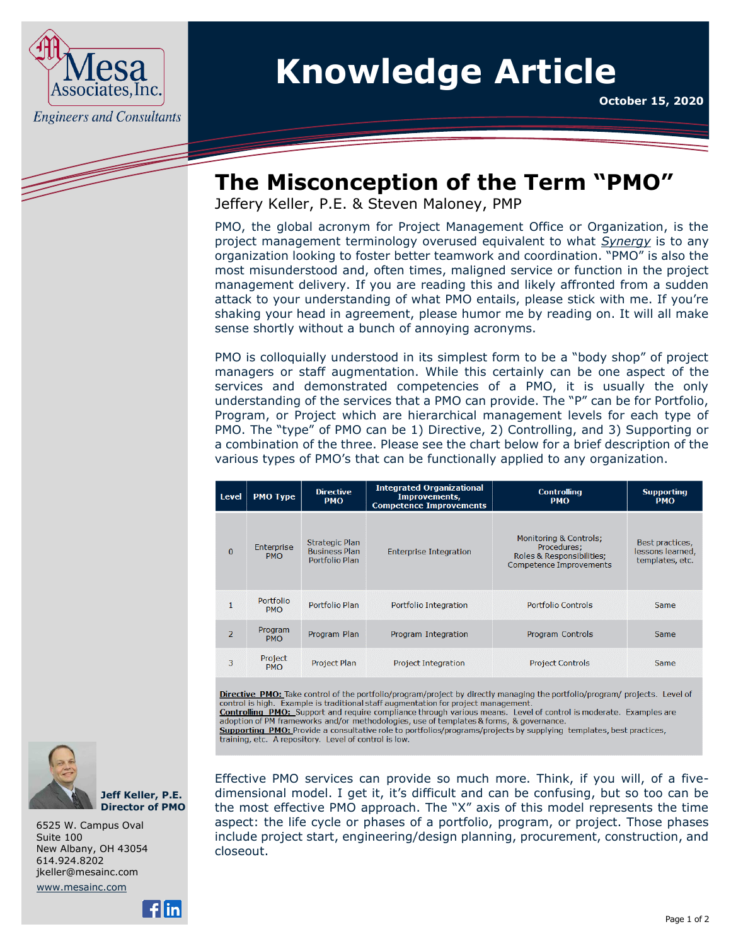

## **Knowledge Article**

**October 15, 2020**

## **The Misconception of the Term "PMO"**

Jeffery Keller, P.E. & Steven Maloney, PMP

PMO, the global acronym for Project Management Office or Organization, is the project management terminology overused equivalent to what *Synergy* is to any organization looking to foster better teamwork and coordination. "PMO" is also the most misunderstood and, often times, maligned service or function in the project management delivery. If you are reading this and likely affronted from a sudden attack to your understanding of what PMO entails, please stick with me. If you're shaking your head in agreement, please humor me by reading on. It will all make sense shortly without a bunch of annoying acronyms.

PMO is colloquially understood in its simplest form to be a "body shop" of project managers or staff augmentation. While this certainly can be one aspect of the services and demonstrated competencies of a PMO, it is usually the only understanding of the services that a PMO can provide. The "P" can be for Portfolio, Program, or Project which are hierarchical management levels for each type of PMO. The "type" of PMO can be 1) Directive, 2) Controlling, and 3) Supporting or a combination of the three. Please see the chart below for a brief description of the various types of PMO's that can be functionally applied to any organization.

| <b>Level</b>   | <b>PMO Type</b>          | <b>Directive</b><br><b>PMO</b>                           | <b>Integrated Organizational</b><br>Improvements,<br><b>Competence Improvements</b> | <b>Controlling</b><br><b>PMO</b>                                                                                | <b>Supporting</b><br><b>PMO</b>                        |
|----------------|--------------------------|----------------------------------------------------------|-------------------------------------------------------------------------------------|-----------------------------------------------------------------------------------------------------------------|--------------------------------------------------------|
| $\mathbf{0}$   | Enterprise<br><b>PMO</b> | Strategic Plan<br><b>Business Plan</b><br>Portfolio Plan | <b>Enterprise Integration</b>                                                       | Monitoring & Controls;<br>Procedures;<br><b>Roles &amp; Responsibilities:</b><br><b>Competence Improvements</b> | Best practices,<br>lessons learned,<br>templates, etc. |
|                | Portfolio<br><b>PMO</b>  | Portfolio Plan                                           | Portfolio Integration                                                               | Portfolio Controls                                                                                              | Same                                                   |
| $\overline{2}$ | Program<br><b>PMO</b>    | Program Plan                                             | Program Integration                                                                 | Program Controls                                                                                                | Same                                                   |
| 3              | Project<br><b>PMO</b>    | Project Plan                                             | <b>Project Integration</b>                                                          | <b>Project Controls</b>                                                                                         | Same                                                   |

Directive PMO: Take control of the portfolio/program/project by directly managing the portfolio/program/ projects. Level of control is high. Example is traditional staff augmentation for project management.

Effective PMO services can provide so much more. Think, if you will, of a five-

**Controlling PMO:** Support and require compliance through various means. Level of control is moderate. Examples are adoption of PM frameworks and/or methodologies, use of templates & forms, & governance.

Supporting PMO: Provide a consultative role to portfolios/programs/projects by supplying templates, best practices, training, etc. A repository. Level of control is low.



**Jeff Keller, P.E. Director of PMO**

6525 W. Campus Oval Suite 100 New Albany, OH 43054 614.924.8202 [jkeller@mesainc.com](mailto:jkeller@mesainc.com)

[www.mesainc.com](http://www.mesainc.com/) 



dimensional model. I get it, it's difficult and can be confusing, but so too can be the most effective PMO approach. The "X" axis of this model represents the time aspect: the life cycle or phases of a portfolio, program, or project. Those phases include project start, engineering/design planning, procurement, construction, and closeout.